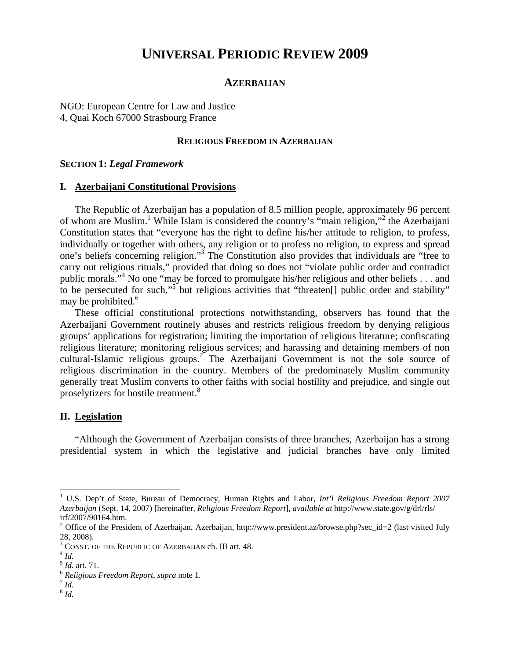# **UNIVERSAL PERIODIC REVIEW 2009**

## **AZERBAIJAN**

NGO: European Centre for Law and Justice 4, Quai Koch 67000 Strasbourg France

#### **RELIGIOUS FREEDOM IN AZERBAIJAN**

#### **SECTION 1:** *Legal Framework*

#### **I. Azerbaijani Constitutional Provisions**

The Republic of Azerbaijan has a population of 8.5 million people, approximately 96 percent of whom are Muslim.<sup>1</sup> While Islam is considered the country's "main religion,"<sup>2</sup> the Azerbaijani Constitution states that "everyone has the right to define his/her attitude to religion, to profess, individually or together with others, any religion or to profess no religion, to express and spread one's beliefs concerning religion."3 The Constitution also provides that individuals are "free to carry out religious rituals," provided that doing so does not "violate public order and contradict public morals."<sup>4</sup> No one "may be forced to promulgate his/her religious and other beliefs . . . and to be persecuted for such,"<sup>5</sup> but religious activities that "threaten<sup>[]</sup> public order and stability" may be prohibited.<sup>6</sup>

These official constitutional protections notwithstanding, observers has found that the Azerbaijani Government routinely abuses and restricts religious freedom by denying religious groups' applications for registration; limiting the importation of religious literature; confiscating religious literature; monitoring religious services; and harassing and detaining members of non cultural-Islamic religious groups.<sup>7</sup> The Azerbaijani Government is not the sole source of religious discrimination in the country. Members of the predominately Muslim community generally treat Muslim converts to other faiths with social hostility and prejudice, and single out proselytizers for hostile treatment.<sup>8</sup>

#### **II. Legislation**

"Although the Government of Azerbaijan consists of three branches, Azerbaijan has a strong presidential system in which the legislative and judicial branches have only limited

 $\overline{a}$ 

<sup>&</sup>lt;sup>1</sup> U.S. Dep't of State, Bureau of Democracy, Human Rights and Labor, *Int'l Religious Freedom Report 2007 Azerbaijan* (Sept. 14, 2007) [hereinafter, *Religious Freedom Report*], *available at* http://www.state.gov/g/drl/rls/ irf/2007/90164.htm.

<sup>&</sup>lt;sup>2</sup> Office of the President of Azerbaijan, Azerbaijan, http://www.president.az/browse.php?sec\_id=2 (last visited July 28, 2008).

 $^3$  CONST. OF THE REPUBLIC OF AZERBAIJAN ch. III art. 48.  $^4$  *Id.* 

<sup>5</sup> *Id.* art. 71. 6 *Religious Freedom Report*, *supra* note 1. 7 *Id.*

<sup>8</sup> *Id.*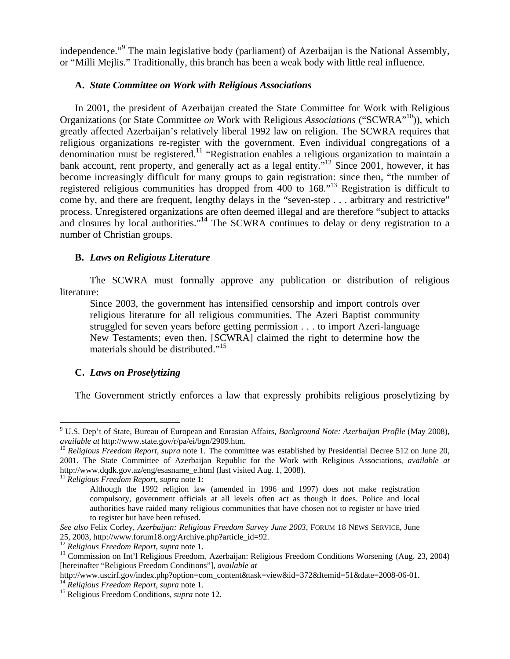independence."<sup>9</sup> The main legislative body (parliament) of Azerbaijan is the National Assembly, or "Milli Mejlis." Traditionally, this branch has been a weak body with little real influence.

## **A.** *State Committee on Work with Religious Associations*

In 2001, the president of Azerbaijan created the State Committee for Work with Religious Organizations (or State Committee *on* Work with Religious *Associations* ("SCWRA"10)), which greatly affected Azerbaijan's relatively liberal 1992 law on religion. The SCWRA requires that religious organizations re-register with the government. Even individual congregations of a denomination must be registered.<sup>11</sup> "Registration enables a religious organization to maintain a bank account, rent property, and generally act as a legal entity."<sup>12</sup> Since 2001, however, it has become increasingly difficult for many groups to gain registration: since then, "the number of registered religious communities has dropped from 400 to 168."13 Registration is difficult to come by, and there are frequent, lengthy delays in the "seven-step . . . arbitrary and restrictive" process. Unregistered organizations are often deemed illegal and are therefore "subject to attacks and closures by local authorities."<sup>14</sup> The SCWRA continues to delay or deny registration to a number of Christian groups.

## **B.** *Laws on Religious Literature*

The SCWRA must formally approve any publication or distribution of religious literature:

Since 2003, the government has intensified censorship and import controls over religious literature for all religious communities. The Azeri Baptist community struggled for seven years before getting permission . . . to import Azeri-language New Testaments; even then, [SCWRA] claimed the right to determine how the materials should be distributed."<sup>15</sup>

## **C.** *Laws on Proselytizing*

 $\overline{a}$ 

The Government strictly enforces a law that expressly prohibits religious proselytizing by

<sup>9</sup> U.S. Dep't of State, Bureau of European and Eurasian Affairs, *Background Note: Azerbaijan Profile* (May 2008), *available at* http://www.state.gov/r/pa/ei/bgn/2909.htm.<br><sup>10</sup> *Religious Freedom Report, supra* note 1. The committee was established by Presidential Decree 512 on June 20,

<sup>2001.</sup> The State Committee of Azerbaijan Republic for the Work with Religious Associations, *available at*  http://www.dqdk.gov.az/eng/esasname\_e.html (last visited Aug. 1, 2008). 11 *Religious Freedom Report*, *supra* note 1:

Although the 1992 religion law (amended in 1996 and 1997) does not make registration compulsory, government officials at all levels often act as though it does. Police and local authorities have raided many religious communities that have chosen not to register or have tried to register but have been refused.

*See also* Felix Corley, *Azerbaijan: Religious Freedom Survey June 2003*, FORUM 18 NEWS SERVICE, June 25, 2003, http://www.forum18.org/Archive.php?article\_id=92.<br><sup>12</sup> Religious Freedom Report, supra note 1.

<sup>&</sup>lt;sup>13</sup> Commission on Int'l Religious Freedom, Azerbaijan: Religious Freedom Conditions Worsening (Aug. 23, 2004) [hereinafter "Religious Freedom Conditions"], *available at* 

http://www.uscirf.gov/index.php?option=com\_content&task=view&id=372&Itemid=51&date=2008-06-01.<br><sup>14</sup> *Religious Freedom Report, supra* note 1.<br><sup>15</sup> Religious Freedom Conditions, *supra* note 12.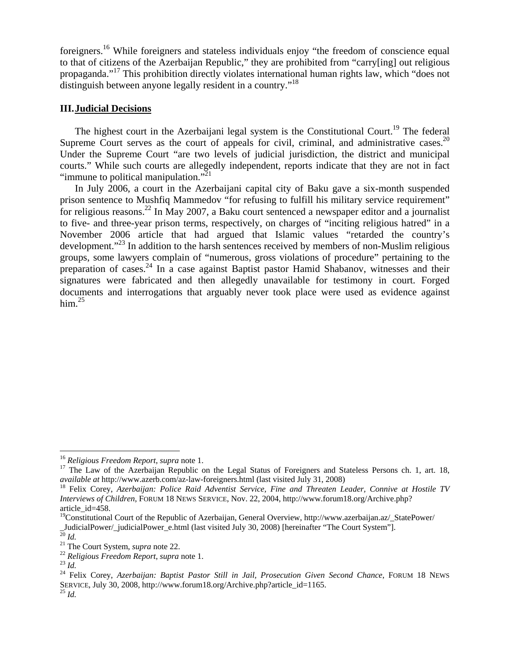foreigners.16 While foreigners and stateless individuals enjoy "the freedom of conscience equal to that of citizens of the Azerbaijan Republic," they are prohibited from "carry[ing] out religious propaganda."17 This prohibition directly violates international human rights law, which "does not distinguish between anyone legally resident in a country."<sup>18</sup>

### **III.Judicial Decisions**

The highest court in the Azerbaijani legal system is the Constitutional Court.<sup>19</sup> The federal Supreme Court serves as the court of appeals for civil, criminal, and administrative cases.<sup>20</sup> Under the Supreme Court "are two levels of judicial jurisdiction, the district and municipal courts." While such courts are allegedly independent, reports indicate that they are not in fact "immune to political manipulation."<sup>21</sup>

In July 2006, a court in the Azerbaijani capital city of Baku gave a six-month suspended prison sentence to Mushfiq Mammedov "for refusing to fulfill his military service requirement" for religious reasons.<sup>22</sup> In May 2007, a Baku court sentenced a newspaper editor and a journalist to five- and three-year prison terms, respectively, on charges of "inciting religious hatred" in a November 2006 article that had argued that Islamic values "retarded the country's development.<sup>"23</sup> In addition to the harsh sentences received by members of non-Muslim religious groups, some lawyers complain of "numerous, gross violations of procedure" pertaining to the preparation of cases.24 In a case against Baptist pastor Hamid Shabanov, witnesses and their signatures were fabricated and then allegedly unavailable for testimony in court. Forged documents and interrogations that arguably never took place were used as evidence against him. $^{25}$ 

<sup>&</sup>lt;sup>16</sup> Religious Freedom Report, supra note 1.

<sup>&</sup>lt;sup>17</sup> The Law of the Azerbaijan Republic on the Legal Status of Foreigners and Stateless Persons ch. 1, art. 18, *available at* http://www.azerb.com/az-law-foreigners.html (last visited July 31, 2008)

<sup>&</sup>lt;sup>18</sup> Felix Corey, *Azerbaijan: Police Raid Adventist Service, Fine and Threaten Leader, Connive at Hostile TV Interviews of Children*, FORUM 18 NEWS SERVICE, Nov. 22, 2004, http://www.forum18.org/Archive.php? article\_id=458.

<sup>&</sup>lt;sup>19</sup>Constitutional Court of the Republic of Azerbaijan, General Overview, http://www.azerbaijan.az/\_StatePower/ JudicialPower/\_judicialPower\_e.html (last visited July 30, 2008) [hereinafter "The Court System"].<br>
<sup>20</sup> *Id.*<br>
<sup>21</sup> The Court System, *supra* note 22.<br>
<sup>22</sup> Religious Freedom Report, *supra* note 1.<br>
<sup>23</sup> *Id.*<br>
<sup>24</sup> Fel

SERVICE, July 30, 2008, http://www.forum18.org/Archive.php?article\_id=1165. <sup>25</sup> *Id.*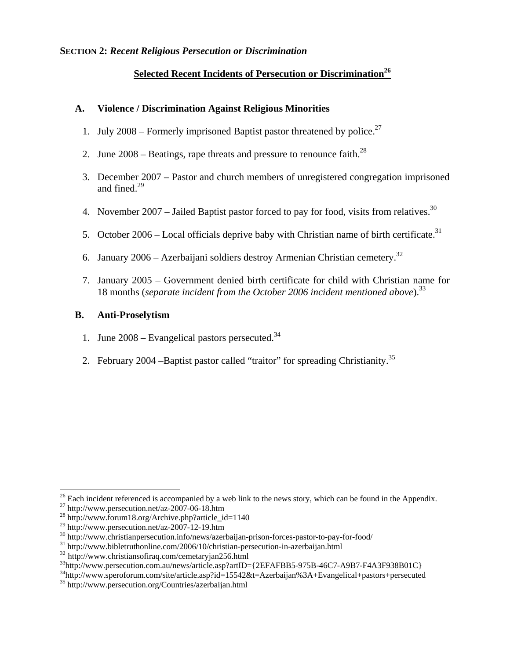### **SECTION 2:** *Recent Religious Persecution or Discrimination*

# **<u>Selected Recent Incidents of Persecuti</u>on or Discrimination<sup>26</sup>**

#### **A. Violence / Discrimination Against Religious Minorities**

- 1. July 2008 Formerly imprisoned Baptist pastor threatened by police.<sup>27</sup>
- 2. June  $2008$  Beatings, rape threats and pressure to renounce faith.<sup>28</sup>
- 3. December 2007 Pastor and church members of unregistered congregation imprisoned and fined.<sup>29</sup>
- 4. November 2007 Jailed Baptist pastor forced to pay for food, visits from relatives.<sup>30</sup>
- 5. October 2006 Local officials deprive baby with Christian name of birth certificate.<sup>31</sup>
- 6. January 2006 Azerbaijani soldiers destroy Armenian Christian cemetery.<sup>32</sup>
- 7. January 2005 Government denied birth certificate for child with Christian name for 18 months (*separate incident from the October 2006 incident mentioned above*).33

## **B. Anti-Proselytism**

- 1. June  $2008$  Evangelical pastors persecuted.<sup>34</sup>
- 2. February 2004 –Baptist pastor called "traitor" for spreading Christianity.35

 $\overline{a}$ 

 $26$  Each incident referenced is accompanied by a web link to the news story, which can be found in the Appendix.

<sup>&</sup>lt;sup>27</sup> http://www.persecution.net/az-2007-06-18.htm<br>
<sup>28</sup> http://www.forum18.org/Archive.php?article\_id=1140<br>
<sup>29</sup> http://www.persecution.net/az-2007-12-19.htm

<sup>&</sup>lt;sup>30</sup> http://www.christianpersecution.info/news/azerbaijan-prison-forces-pastor-to-pay-for-food/<br><sup>31</sup> http://www.bibletruthonline.com/2006/10/christian-persecution-in-azerbaijan.html<br><sup>32</sup> http://www.christiansofiraq.com/ce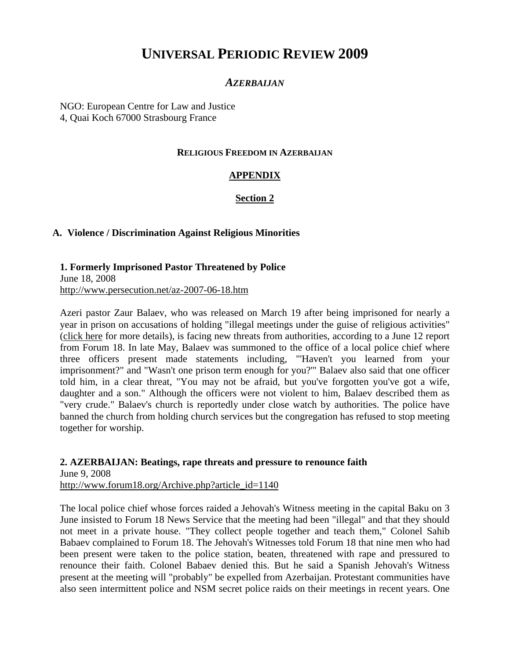# **UNIVERSAL PERIODIC REVIEW 2009**

## *AZERBAIJAN*

NGO: European Centre for Law and Justice 4, Quai Koch 67000 Strasbourg France

### **RELIGIOUS FREEDOM IN AZERBAIJAN**

## **APPENDIX**

## **Section 2**

## **A. Violence / Discrimination Against Religious Minorities**

**1. Formerly Imprisoned Pastor Threatened by Police**  June 18, 2008 http://www.persecution.net/az-2007-06-18.htm

Azeri pastor Zaur Balaev, who was released on March 19 after being imprisoned for nearly a year in prison on accusations of holding "illegal meetings under the guise of religious activities" (click here for more details), is facing new threats from authorities, according to a June 12 report from Forum 18. In late May, Balaev was summoned to the office of a local police chief where three officers present made statements including, "'Haven't you learned from your imprisonment?" and "Wasn't one prison term enough for you?'" Balaev also said that one officer told him, in a clear threat, "You may not be afraid, but you've forgotten you've got a wife, daughter and a son." Although the officers were not violent to him, Balaev described them as "very crude." Balaev's church is reportedly under close watch by authorities. The police have banned the church from holding church services but the congregation has refused to stop meeting together for worship.

**2. AZERBAIJAN: Beatings, rape threats and pressure to renounce faith**  June 9, 2008 http://www.forum18.org/Archive.php?article\_id=1140

The local police chief whose forces raided a Jehovah's Witness meeting in the capital Baku on 3 June insisted to Forum 18 News Service that the meeting had been "illegal" and that they should not meet in a private house. "They collect people together and teach them," Colonel Sahib Babaev complained to Forum 18. The Jehovah's Witnesses told Forum 18 that nine men who had been present were taken to the police station, beaten, threatened with rape and pressured to renounce their faith. Colonel Babaev denied this. But he said a Spanish Jehovah's Witness present at the meeting will "probably" be expelled from Azerbaijan. Protestant communities have also seen intermittent police and NSM secret police raids on their meetings in recent years. One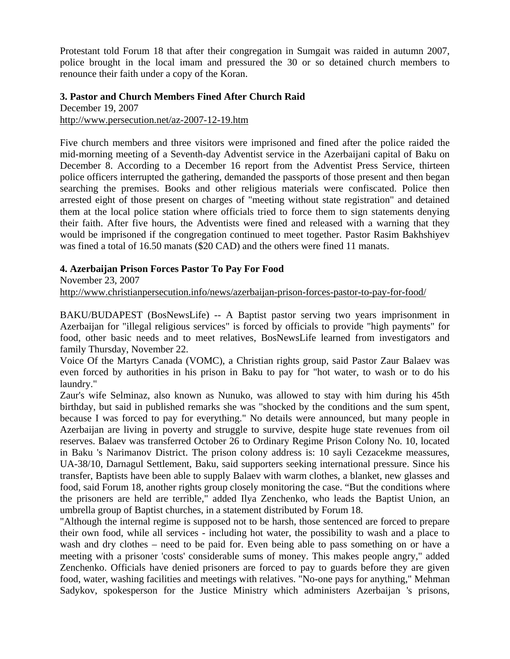Protestant told Forum 18 that after their congregation in Sumgait was raided in autumn 2007, police brought in the local imam and pressured the 30 or so detained church members to renounce their faith under a copy of the Koran.

### **3. Pastor and Church Members Fined After Church Raid**

December 19, 2007 http://www.persecution.net/az-2007-12-19.htm

Five church members and three visitors were imprisoned and fined after the police raided the mid-morning meeting of a Seventh-day Adventist service in the Azerbaijani capital of Baku on December 8. According to a December 16 report from the Adventist Press Service, thirteen police officers interrupted the gathering, demanded the passports of those present and then began searching the premises. Books and other religious materials were confiscated. Police then arrested eight of those present on charges of "meeting without state registration" and detained them at the local police station where officials tried to force them to sign statements denying their faith. After five hours, the Adventists were fined and released with a warning that they would be imprisoned if the congregation continued to meet together. Pastor Rasim Bakhshiyev was fined a total of 16.50 manats (\$20 CAD) and the others were fined 11 manats.

## **4. Azerbaijan Prison Forces Pastor To Pay For Food**

November 23, 2007

http://www.christianpersecution.info/news/azerbaijan-prison-forces-pastor-to-pay-for-food/

BAKU/BUDAPEST (BosNewsLife) -- A Baptist pastor serving two years imprisonment in Azerbaijan for "illegal religious services" is forced by officials to provide "high payments" for food, other basic needs and to meet relatives, BosNewsLife learned from investigators and family Thursday, November 22.

Voice Of the Martyrs Canada (VOMC), a Christian rights group, said Pastor Zaur Balaev was even forced by authorities in his prison in Baku to pay for "hot water, to wash or to do his laundry."

Zaur's wife Selminaz, also known as Nunuko, was allowed to stay with him during his 45th birthday, but said in published remarks she was "shocked by the conditions and the sum spent, because I was forced to pay for everything." No details were announced, but many people in Azerbaijan are living in poverty and struggle to survive, despite huge state revenues from oil reserves. Balaev was transferred October 26 to Ordinary Regime Prison Colony No. 10, located in Baku 's Narimanov District. The prison colony address is: 10 sayli Cezacekme meassures, UA-38/10, Darnagul Settlement, Baku, said supporters seeking international pressure. Since his transfer, Baptists have been able to supply Balaev with warm clothes, a blanket, new glasses and food, said Forum 18, another rights group closely monitoring the case. "But the conditions where the prisoners are held are terrible," added Ilya Zenchenko, who leads the Baptist Union, an umbrella group of Baptist churches, in a statement distributed by Forum 18.

"Although the internal regime is supposed not to be harsh, those sentenced are forced to prepare their own food, while all services - including hot water, the possibility to wash and a place to wash and dry clothes – need to be paid for. Even being able to pass something on or have a meeting with a prisoner 'costs' considerable sums of money. This makes people angry," added Zenchenko. Officials have denied prisoners are forced to pay to guards before they are given food, water, washing facilities and meetings with relatives. "No-one pays for anything," Mehman Sadykov, spokesperson for the Justice Ministry which administers Azerbaijan 's prisons,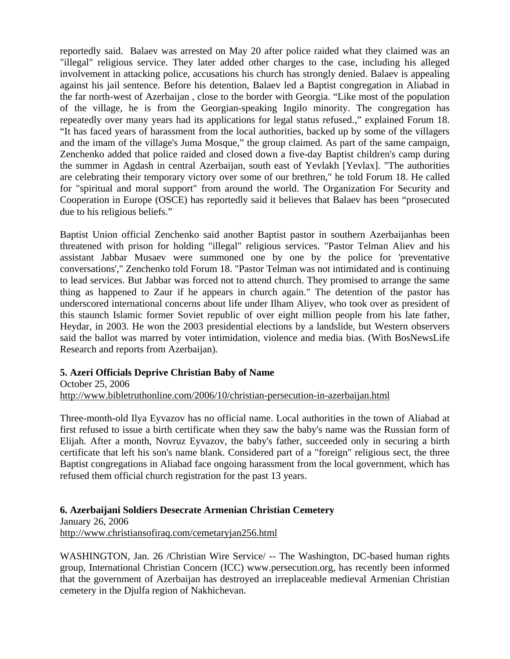reportedly said. Balaev was arrested on May 20 after police raided what they claimed was an "illegal" religious service. They later added other charges to the case, including his alleged involvement in attacking police, accusations his church has strongly denied. Balaev is appealing against his jail sentence. Before his detention, Balaev led a Baptist congregation in Aliabad in the far north-west of Azerbaijan , close to the border with Georgia. "Like most of the population of the village, he is from the Georgian-speaking Ingilo minority. The congregation has repeatedly over many years had its applications for legal status refused.," explained Forum 18. "It has faced years of harassment from the local authorities, backed up by some of the villagers and the imam of the village's Juma Mosque," the group claimed. As part of the same campaign, Zenchenko added that police raided and closed down a five-day Baptist children's camp during the summer in Agdash in central Azerbaijan, south east of Yevlakh [Yevlax]. "The authorities are celebrating their temporary victory over some of our brethren," he told Forum 18. He called for "spiritual and moral support" from around the world. The Organization For Security and Cooperation in Europe (OSCE) has reportedly said it believes that Balaev has been "prosecuted due to his religious beliefs."

Baptist Union official Zenchenko said another Baptist pastor in southern Azerbaijanhas been threatened with prison for holding "illegal" religious services. "Pastor Telman Aliev and his assistant Jabbar Musaev were summoned one by one by the police for 'preventative conversations'," Zenchenko told Forum 18. "Pastor Telman was not intimidated and is continuing to lead services. But Jabbar was forced not to attend church. They promised to arrange the same thing as happened to Zaur if he appears in church again." The detention of the pastor has underscored international concerns about life under Ilham Aliyev, who took over as president of this staunch Islamic former Soviet republic of over eight million people from his late father, Heydar, in 2003. He won the 2003 presidential elections by a landslide, but Western observers said the ballot was marred by voter intimidation, violence and media bias. (With BosNewsLife Research and reports from Azerbaijan).

## **5. Azeri Officials Deprive Christian Baby of Name**

October 25, 2006 http://www.bibletruthonline.com/2006/10/christian-persecution-in-azerbaijan.html

Three-month-old Ilya Eyvazov has no official name. Local authorities in the town of Aliabad at first refused to issue a birth certificate when they saw the baby's name was the Russian form of Elijah. After a month, Novruz Eyvazov, the baby's father, succeeded only in securing a birth certificate that left his son's name blank. Considered part of a "foreign" religious sect, the three Baptist congregations in Aliabad face ongoing harassment from the local government, which has refused them official church registration for the past 13 years.

**6. Azerbaijani Soldiers Desecrate Armenian Christian Cemetery**  January 26, 2006 http://www.christiansofiraq.com/cemetaryjan256.html

WASHINGTON, Jan. 26 /Christian Wire Service/ -- The Washington, DC-based human rights group, International Christian Concern (ICC) www.persecution.org, has recently been informed that the government of Azerbaijan has destroyed an irreplaceable medieval Armenian Christian cemetery in the Djulfa region of Nakhichevan.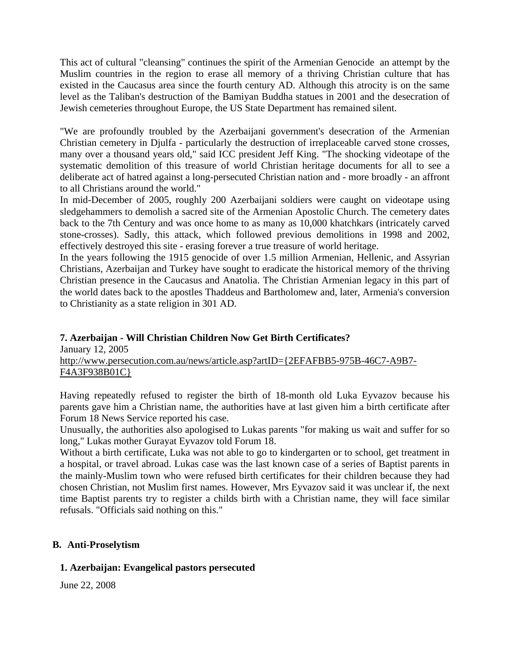This act of cultural "cleansing" continues the spirit of the Armenian Genocide an attempt by the Muslim countries in the region to erase all memory of a thriving Christian culture that has existed in the Caucasus area since the fourth century AD. Although this atrocity is on the same level as the Taliban's destruction of the Bamiyan Buddha statues in 2001 and the desecration of Jewish cemeteries throughout Europe, the US State Department has remained silent.

"We are profoundly troubled by the Azerbaijani government's desecration of the Armenian Christian cemetery in Djulfa - particularly the destruction of irreplaceable carved stone crosses, many over a thousand years old," said ICC president Jeff King. "The shocking videotape of the systematic demolition of this treasure of world Christian heritage documents for all to see a deliberate act of hatred against a long-persecuted Christian nation and - more broadly - an affront to all Christians around the world."

In mid-December of 2005, roughly 200 Azerbaijani soldiers were caught on videotape using sledgehammers to demolish a sacred site of the Armenian Apostolic Church. The cemetery dates back to the 7th Century and was once home to as many as 10,000 khatchkars (intricately carved stone-crosses). Sadly, this attack, which followed previous demolitions in 1998 and 2002, effectively destroyed this site - erasing forever a true treasure of world heritage.

In the years following the 1915 genocide of over 1.5 million Armenian, Hellenic, and Assyrian Christians, Azerbaijan and Turkey have sought to eradicate the historical memory of the thriving Christian presence in the Caucasus and Anatolia. The Christian Armenian legacy in this part of the world dates back to the apostles Thaddeus and Bartholomew and, later, Armenia's conversion to Christianity as a state religion in 301 AD.

## **7. Azerbaijan - Will Christian Children Now Get Birth Certificates?**

January 12, 2005 http://www.persecution.com.au/news/article.asp?artID={2EFAFBB5-975B-46C7-A9B7- F4A3F938B01C}

Having repeatedly refused to register the birth of 18-month old Luka Eyvazov because his parents gave him a Christian name, the authorities have at last given him a birth certificate after Forum 18 News Service reported his case.

Unusually, the authorities also apologised to Lukas parents "for making us wait and suffer for so long," Lukas mother Gurayat Eyvazov told Forum 18.

Without a birth certificate, Luka was not able to go to kindergarten or to school, get treatment in a hospital, or travel abroad. Lukas case was the last known case of a series of Baptist parents in the mainly-Muslim town who were refused birth certificates for their children because they had chosen Christian, not Muslim first names. However, Mrs Eyvazov said it was unclear if, the next time Baptist parents try to register a childs birth with a Christian name, they will face similar refusals. "Officials said nothing on this."

## **B. Anti-Proselytism**

## **1. Azerbaijan: Evangelical pastors persecuted**

June 22, 2008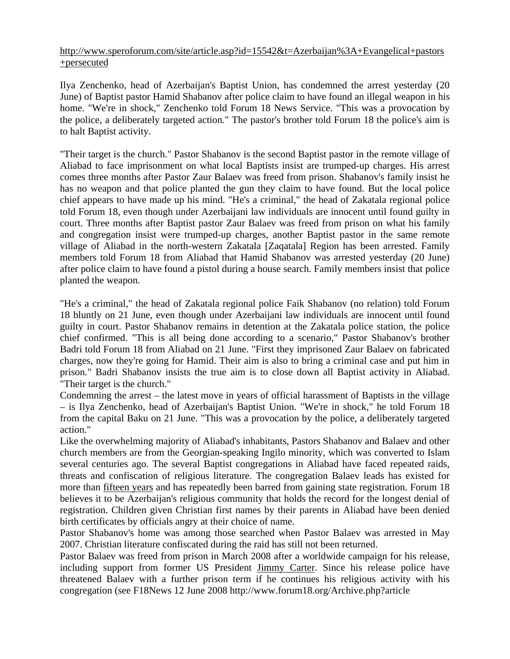## http://www.speroforum.com/site/article.asp?id=15542&t=Azerbaijan%3A+Evangelical+pastors +persecuted

Ilya Zenchenko, head of Azerbaijan's Baptist Union, has condemned the arrest yesterday (20 June) of Baptist pastor Hamid Shabanov after police claim to have found an illegal weapon in his home. "We're in shock," Zenchenko told Forum 18 News Service. "This was a provocation by the police, a deliberately targeted action." The pastor's brother told Forum 18 the police's aim is to halt Baptist activity.

"Their target is the church." Pastor Shabanov is the second Baptist pastor in the remote village of Aliabad to face imprisonment on what local Baptists insist are trumped-up charges. His arrest comes three months after Pastor Zaur Balaev was freed from prison. Shabanov's family insist he has no weapon and that police planted the gun they claim to have found. But the local police chief appears to have made up his mind. "He's a criminal," the head of Zakatala regional police told Forum 18, even though under Azerbaijani law individuals are innocent until found guilty in court. Three months after Baptist pastor Zaur Balaev was freed from prison on what his family and congregation insist were trumped-up charges, another Baptist pastor in the same remote village of Aliabad in the north-western Zakatala [Zaqatala] Region has been arrested. Family members told Forum 18 from Aliabad that Hamid Shabanov was arrested yesterday (20 June) after police claim to have found a pistol during a house search. Family members insist that police planted the weapon.

"He's a criminal," the head of Zakatala regional police Faik Shabanov (no relation) told Forum 18 bluntly on 21 June, even though under Azerbaijani law individuals are innocent until found guilty in court. Pastor Shabanov remains in detention at the Zakatala police station, the police chief confirmed. "This is all being done according to a scenario," Pastor Shabanov's brother Badri told Forum 18 from Aliabad on 21 June. "First they imprisoned Zaur Balaev on fabricated charges, now they're going for Hamid. Their aim is also to bring a criminal case and put him in prison." Badri Shabanov insists the true aim is to close down all Baptist activity in Aliabad. "Their target is the church."

Condemning the arrest – the latest move in years of official harassment of Baptists in the village – is Ilya Zenchenko, head of Azerbaijan's Baptist Union. "We're in shock," he told Forum 18 from the capital Baku on 21 June. "This was a provocation by the police, a deliberately targeted action."

Like the overwhelming majority of Aliabad's inhabitants, Pastors Shabanov and Balaev and other church members are from the Georgian-speaking Ingilo minority, which was converted to Islam several centuries ago. The several Baptist congregations in Aliabad have faced repeated raids, threats and confiscation of religious literature. The congregation Balaev leads has existed for more than fifteen years and has repeatedly been barred from gaining state registration. Forum 18 believes it to be Azerbaijan's religious community that holds the record for the longest denial of registration. Children given Christian first names by their parents in Aliabad have been denied birth certificates by officials angry at their choice of name.

Pastor Shabanov's home was among those searched when Pastor Balaev was arrested in May 2007. Christian literature confiscated during the raid has still not been returned.

Pastor Balaev was freed from prison in March 2008 after a worldwide campaign for his release, including support from former US President Jimmy Carter. Since his release police have threatened Balaev with a further prison term if he continues his religious activity with his congregation (see F18News 12 June 2008 http://www.forum18.org/Archive.php?article